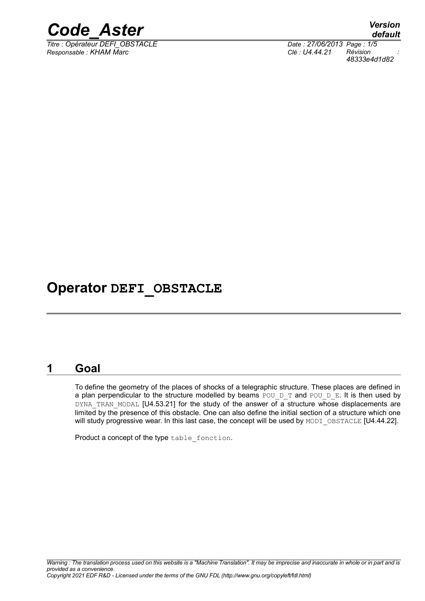

*Titre : Opérateur DEFI\_OBSTACLE Date : 27/06/2013 Page : 1/5 Responsable : KHAM Marc Clé : U4.44.21 Révision :*

*48333e4d1d82*

# **Operator DEFI\_OBSTACLE**

#### **1 Goal**

To define the geometry of the places of shocks of a telegraphic structure. These places are defined in a plan perpendicular to the structure modelled by beams POU D T and POU D E. It is then used by DYNA TRAN MODAL [U4.53.21] for the study of the answer of a structure whose displacements are limited by the presence of this obstacle. One can also define the initial section of a structure which one will study progressive wear. In this last case, the concept will be used by MODI\_OBSTACLE [U4.44.22].

Product a concept of the type table fonction.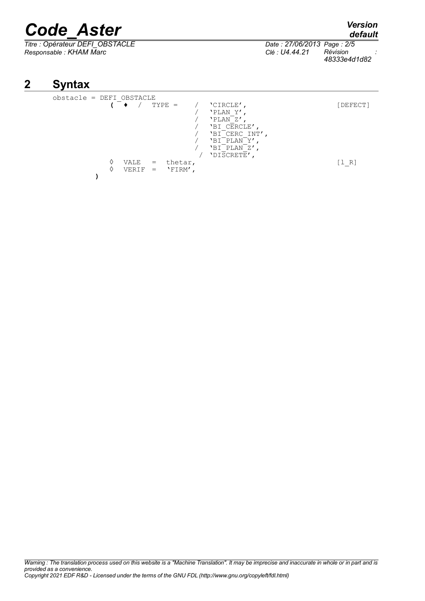# *Code\_Aster Version*

*Titre : Opérateur DEFI\_OBSTACLE Date : 27/06/2013 Page : 2/5 Responsable : KHAM Marc Clé : U4.44.21 Révision :*

*48333e4d1d82*

## **2 Syntax**

| obstacle = DEFI OBSTACLE |               |            |                    |                                                                                                                            |          |
|--------------------------|---------------|------------|--------------------|----------------------------------------------------------------------------------------------------------------------------|----------|
|                          |               |            | $TYPE =$           | 'CIRCLE'<br>'PLAN Y'<br>'PLAN <sup>-</sup> Z'<br>'BI CERCLE'<br>'BI CERC INT',<br>'BI PLAN Y'<br>'BI PLAN Z'<br>'DISCRETE' | [DEFECT] |
|                          | VALE<br>VERIF | $=$<br>$=$ | thetar,<br>'FIRM', |                                                                                                                            | [1 R]    |

*Warning : The translation process used on this website is a "Machine Translation". It may be imprecise and inaccurate in whole or in part and is provided as a convenience. Copyright 2021 EDF R&D - Licensed under the terms of the GNU FDL (http://www.gnu.org/copyleft/fdl.html)*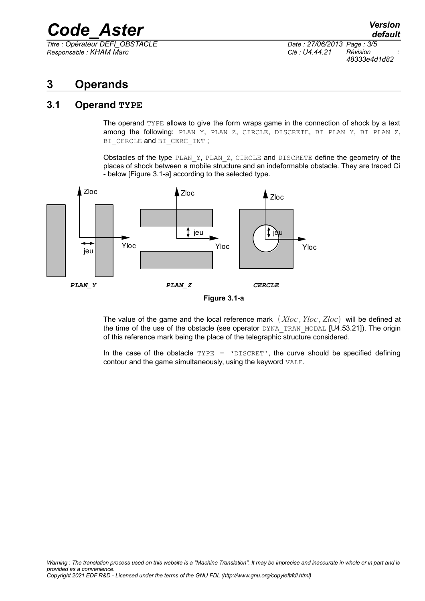# *Code\_Aster Version*

*Titre : Opérateur DEFI\_OBSTACLE Date : 27/06/2013 Page : 3/5 Responsable : KHAM Marc Clé : U4.44.21 Révision :*

*48333e4d1d82*

## **3 Operands**

#### **3.1 Operand TYPE**

The operand TYPE allows to give the form wraps game in the connection of shock by a text among the following: PLAN Y, PLAN Z, CIRCLE, DISCRETE, BI\_PLAN\_Y, BI\_PLAN\_Z, BI\_CERCLE and BI\_CERC\_INT ;

Obstacles of the type PLAN Y, PLAN Z, CIRCLE and DISCRETE define the geometry of the places of shock between a mobile structure and an indeformable obstacle. They are traced Ci - below [Figure 3.1-a] according to the selected type.





The value of the game and the local reference mark *Xloc ,Yloc , Zloc* will be defined at the time of the use of the obstacle (see operator DYNA\_TRAN\_MODAL [U4.53.21]). The origin of this reference mark being the place of the telegraphic structure considered.

In the case of the obstacle  $TYPE = 'DISCRET'$ , the curve should be specified defining contour and the game simultaneously, using the keyword VALE.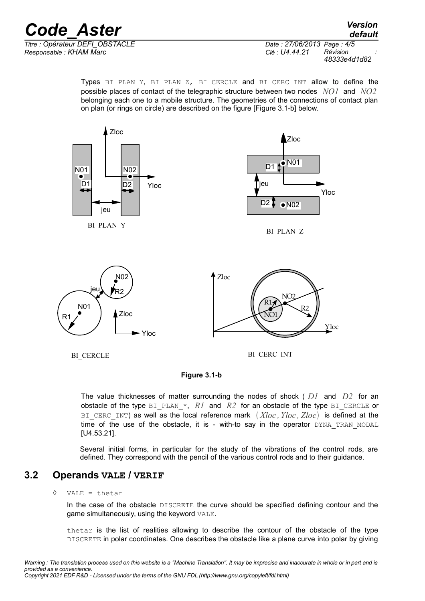### *Code\_Aster Version Titre : Opérateur DEFI\_OBSTACLE Date : 27/06/2013 Page : 4/5*

*Responsable : KHAM Marc Clé : U4.44.21 Révision :*

Types BI\_PLAN\_Y, BI\_PLAN\_Z, BI\_CERCLE and BI\_CERC\_INT allow to define the possible places of contact of the telegraphic structure between two nodes *NO1* and *NO2* belonging each one to a mobile structure. The geometries of the connections of contact plan on plan (or rings on circle) are described on the figure [Figure 3.1-b] below.



BI\_CERCLE

BI\_CERC\_INT



The value thicknesses of matter surrounding the nodes of shock ( *D1* and *D2* for an obstacle of the type BI\_PLAN<sub>\*</sub>, *R1* and *R2* for an obstacle of the type BI\_CERCLE or BI CERC INT) as well as the local reference mark  $(Xloc, Yloc, Zloc)$  is defined at the time of the use of the obstacle, it is - with-to say in the operator DYNA TRAN MODAL [U4.53.21].

Several initial forms, in particular for the study of the vibrations of the control rods, are defined. They correspond with the pencil of the various control rods and to their guidance.

#### **3.2 Operands VALE / VERIF**

#### ◊ VALE = thetar

In the case of the obstacle DISCRETE the curve should be specified defining contour and the game simultaneously, using the keyword VALE.

thetar is the list of realities allowing to describe the contour of the obstacle of the type DISCRETE in polar coordinates. One describes the obstacle like a plane curve into polar by giving